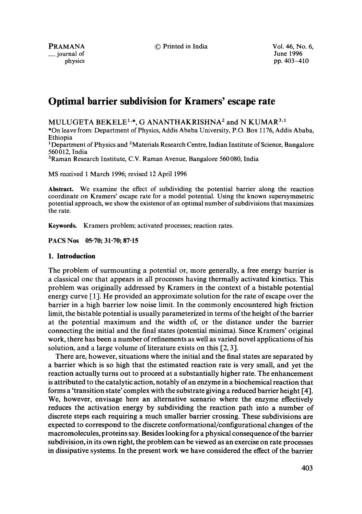© Printed in India Vol. 46, No. 6,

PRAMANA \_\_ journal of physics

June 1996 pp. 403-410

# **Optimal barrier subdivision for Kramers' escape rate**

MULUGETA BEKELE<sup>1,\*</sup>, G ANANTHAKRISHNA<sup>2</sup> and N KUMAR<sup>3,1</sup>

\*On leave from: Department of Physics, Addis Ababa University, P.O. Box 1176, Addis Ababa, Ethiopia

<sup>1</sup>Department of Physics and <sup>2</sup>Materials Research Centre, Indian Institute of Science, Bangalore 560012, India

3Raman Research Institute, C.V. Raman Avenue, Bangalore 560 080, India

MS received 1 March 1996; revised 12 April 1996

**Abstract.** We examine the effect of subdividing the potential barrier along the reaction coordinate on Kramers' escape rate for a model potential. Using the known supersyrnmetric potential approach, we show the existence of an optimal number of subdivisions that maximizes the rate.

**Keywords.** Kramers problem; activated processes; reaction rates.

*PACSNos* 05-70; 31-70;87.15

# **1. Introduction**

The problem of surmounting a potential or, more generally, a free energy barrier is a classical one that appears in all processes having thermally activated kinetics. This problem was originally addressed by Kramers in the context of a bistable potential energy curve  $[1]$ . He provided an approximate solution for the rate of escape over the barrier in a high barrier low noise limit. In the commonly encountered high friction limit, the bistable potential is usually parameterized in terms of the height of the barrier at the potential maximum and the width of, or the distance under the barrier connecting the initial and the final states (potential minima). Since Kramers" original work, there has been a number of refinements as well as varied novel applications of his solution, and a large volume of literature exists on this  $[2, 3]$ .

There are, however, situations where the initial and the final states are separated by a barrier which is so high that the estimated reaction rate is very small, and yet the reaction actually turns out to proceed at a substantially higher rate. The enhancement is attributed to the catalytic action, notably of an enzyme in a biochemical reaction that forms a 'transition state' complex with the substrate giving a reduced barrier height [4]. We, however, envisage here an alternative scenario where the enzyme effectively reduces the activation energy by subdividing the reaction path into a number of discrete steps each requiring a much smaller barrier crossing. These subdivisions are expected to correspond to the discrete conformational/configurational changes of the macromolecules, proteins say. Besides looking for a physical consequence of the barrier subdivision, in its own right, the problem can be viewed as an exercise on rate processes in dissipative systems. In the present work we have considered the effect of the barrier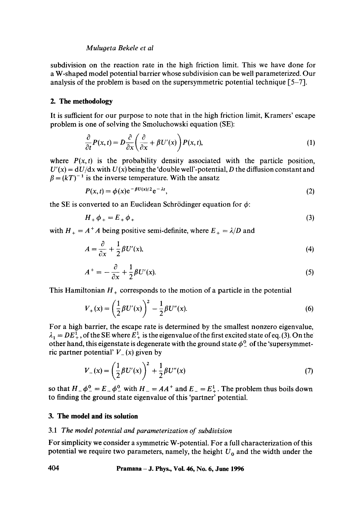subdivision on the reaction rate in the high friction limit. This we have done for a W-shaped model potential barrier whose subdivision can be well parameterized. Our analysis of the problem is based on the supersymmetric potential technique [5-7].

# **2. The methodology**

It is sufficient for our purpose to note that in the high friction limit, Kramers' escape problem is one of solving the Smoluchowski equation (SE):

$$
\frac{\partial}{\partial t}P(x,t) = D\frac{\partial}{\partial x}\left(\frac{\partial}{\partial x} + \beta U'(x)\right)P(x,t),\tag{1}
$$

where  $P(x, t)$  is the probability density associated with the particle position,  $U'(x) = dU/dx$  with  $U(x)$  being the 'double well'-potential, D the diffusion constant and  $\beta = (kT)^{-1}$  is the inverse temperature. With the ansatz

$$
P(x,t) = \phi(x)e^{-\beta U(x)/2}e^{-\lambda t},
$$
\n(2)

the SE is converted to an Euclidean Schrödinger equation for  $\phi$ :

$$
H_+\phi_+ = E_+\phi_+ \tag{3}
$$

with  $H_+ = A^+A$  being positive semi-definite, where  $E_+ = \lambda/D$  and

$$
A = \frac{\partial}{\partial x} + \frac{1}{2} \beta U'(x),\tag{4}
$$

$$
A^{+} = -\frac{\partial}{\partial x} + \frac{1}{2}\beta U'(x). \tag{5}
$$

This Hamiltonian  $H_+$  corresponds to the motion of a particle in the potential

$$
V_{+}(x) = \left(\frac{1}{2}\beta U'(x)\right)^{2} - \frac{1}{2}\beta U''(x). \tag{6}
$$

For a high barrier, the escape rate is determined by the smallest nonzero eigenvalue,  $\lambda_1 = DE_+^{\bar{1}}$ , of the SE where  $E_+^{\bar{1}}$  is the eigenvalue of the first excited state of eq. (3). On the other hand, this eigenstate is degenerate with the ground state  $\phi^0$  of the 'supersymmetric partner potential'  $V_-(x)$  given by

$$
V_{-}(x) = \left(\frac{1}{2}\beta U'(x)\right)^{2} + \frac{1}{2}\beta U''(x)
$$
\n(7)

so that  $H_{-}\phi_{-}^{0} = E_{-}\phi_{-}^{0}$  with  $H_{-} = AA^{+}$  and  $E_{-} = E_{+}^{1}$ . The problem thus boils down to finding the ground state eigenvalue of this 'partner' potential.

# **3. The model and its solution**

# 3.1 *The model potential and parameterization of subdivision*

For simplicity we consider a symmetric W-potential. For a full characterization of this potential we require two parameters, namely, the height  $U_0$  and the width under the

**404 Pramana - J. Phys., Vol. 46, No. 6, June 1996**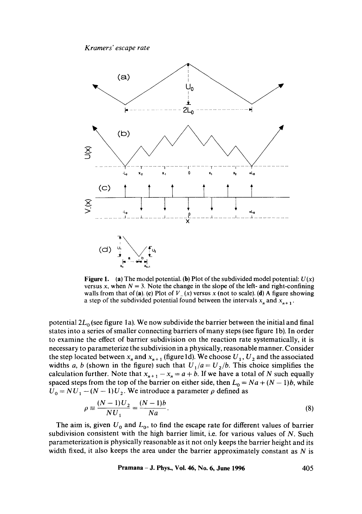*Kramers' escape rate* 



**Figure 1.** (a) The model potential. (b) Plot of the subdivided model potential:  $U(x)$ versus x, when  $N = 3$ . Note the change in the slope of the left- and right-confining walls from that of (a). (c) Plot of  $V(x)$  versus x (not to scale). (d) A figure showing a step of the subdivided potential found between the intervals  $x_n$  and  $x_{n+1}$ .

potential  $2L_0$  (see figure 1a). We now subdivide the barrier between the initial and final states into a series of smaller connecting barriers of many steps (see figure 1b). In order to examine the effect of barrier subdivision on the reaction rate systematically, it is necessary to parameterize the subdivision in a physically, reasonable manner. Consider the step located between  $x_n$  and  $x_{n+1}$  (figure 1d). We choose  $U_1, U_2$  and the associated widths a, b (shown in the figure) such that  $U_1/a = U_2/b$ . This choice simplifies the calculation further. Note that  $x_{n+1} - x_n = a + b$ . If we have a total of N such equally spaced steps from the top of the barrier on either side, then  $L_0 = Na + (N - 1)b$ , while  $U_0 = NU_1 - (N - 1)U_2$ . We introduce a parameter  $\rho$  defined as

$$
\rho \equiv \frac{(N-1)U_2}{NU_1} = \frac{(N-1)b}{Na}.
$$
\n(8)

The aim is, given  $U_0$  and  $L_0$ , to find the escape rate for different values of barrier subdivision consistent with the high barrier limit, i.e. for various values of  $N$ . Such parameterization is physically reasonable as it not only keeps the barrier height and its width fixed, it also keeps the area under the barrier approximately constant as  $N$  is

**Pramana - J. Phys., Vol. 46, No. 6, June 1996** 405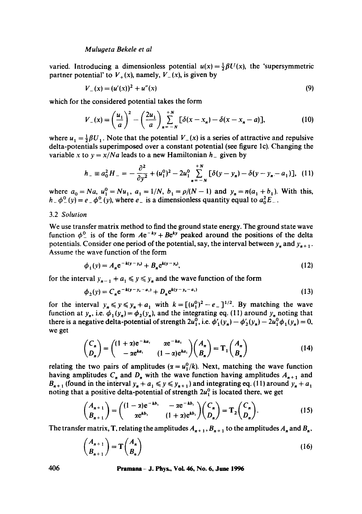varied. Introducing a dimensionless potential  $u(x) = \frac{1}{2} \beta U(x)$ , the 'supersymmetric partner potential' to  $V_+(x)$ , namely,  $V_-(x)$ , is given by

$$
V_{-}(x) = (u'(x))^{2} + u''(x)
$$
\n(9)

which for the considered potential takes the form

$$
V_{-}(x) = \left(\frac{u_{1}}{a}\right)^{2} - \left(\frac{2u_{1}}{a}\right) \sum_{n=-N}^{+N} \left[\delta(x - x_{n}) - \delta(x - x_{n} - a)\right],
$$
 (10)

where  $u_1 = \frac{1}{2}\beta U_1$ . Note that the potential  $V(x)$  is a series of attractive and repulsive delta-potentials superimposed over a constant potential (see figure lc). Changing the variable x to  $y = x/Na$  leads to a new Hamiltonian  $h_a$  given by

$$
h_{-} \equiv a_0^2 H_{-} = -\frac{\partial^2}{\partial y^2} + (u_1^0)^2 - 2u_1^0 \sum_{n=-N}^{+N} [\delta(y - y_n) - \delta(y - y_n - a_1)], \tag{11}
$$

where  $a_0 = Na$ ,  $u_1^0 = Nu_1$ ,  $a_1 = 1/N$ ,  $b_1 = \rho/(N-1)$  and  $y_n = n(a_1 + b_1)$ . With this,  $h = \phi^0$  (y) = e  $\phi^0$  (y), where e is a dimensionless quantity equal to  $a_0^2 E$ .

# 3.2 *Solution*

We use transfer matrix method to find the ground state energy. The ground state wave function  $\phi^0$  is of the form  $Ae^{-ky} + Be^{ky}$  peaked around the positions of the delta potentials. Consider one period of the potential, say, the interval between  $y_n$  and  $y_{n+1}$ . Assume the wave function of the form

$$
\phi_1(y) = A_n e^{-k(y - y_n)} + B_n e^{k(y - y_n)}.
$$
\n(12)

for the interval  $y_{n-1} + a_1 \leq y \leq y_n$  and the wave function of the form

$$
\phi_2(y) = C_n e^{-k(y - y_n - a_1)} + D_n e^{k(y - y_n - a_1)}
$$
\n(13)

for the interval  $y_n \leq y \leq y_n + a_1$  with  $k = [(u_1^0)^2 - e_1]^{1/2}$ . By matching the wave function at  $y_n$ , i.e.  $\phi_1(y_n) = \phi_2(y_n)$ , and the integrating eq. (11) around  $y_n$  noting that there is a negative delta-potential of strength  $2u_1^0$ , i.e.  $\phi'_1(y_n) - \phi'_2(y_n) - 2u_1^0 \phi_1(y_n) = 0$ , we get

$$
\begin{pmatrix} C_n \ D_n \end{pmatrix} = \begin{pmatrix} (1+\alpha)e^{-k a_1} & \alpha e^{-k a_1} \ -\alpha e^{k a_1} & (1-\alpha)e^{k a_1} \end{pmatrix} \begin{pmatrix} A_n \ B_n \end{pmatrix} = \mathbf{T}_1 \begin{pmatrix} A_n \ B_n \end{pmatrix}
$$
 (14)

relating the two pairs of amplitudes ( $\alpha = u_1^0/k$ ). Next, matching the wave function having amplitudes  $C_n$  and  $D_n$  with the wave function having amplitudes  $A_{n+1}$  and  $B_{n+1}$  (found in the interval  $y_n + a_1 \leq y \leq y_{n+1}$ ) and integrating eq. (11) around  $y_n + a_1$ noting that a positive delta-potential of strength  $2u_1^0$  is located there, we get

$$
\begin{pmatrix} A_{n+1} \\ B_{n+1} \end{pmatrix} = \begin{pmatrix} (1-x)e^{-kb_1} & -xe^{-kb_1} \\ xe^{kb_1} & (1+x)e^{kb_1} \end{pmatrix} \begin{pmatrix} C_n \\ D_n \end{pmatrix} = \mathbf{T}_2 \begin{pmatrix} C_n \\ D_n \end{pmatrix}.
$$
 (15)

The transfer matrix, T, relating the amplitudes  $A_{n+1}$ ,  $B_{n+1}$  to the amplitudes  $A_n$  and  $B_n$ .

$$
\binom{A_{n+1}}{B_{n+1}} = \mathbf{T} \binom{A_n}{B_n} \tag{16}
$$

**406 Pranmna -- J. Phys., Vol. 46, No. 6, June 1996**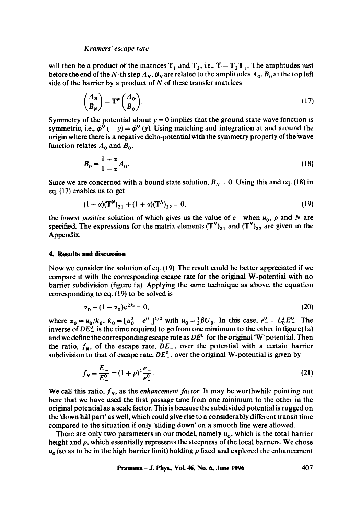#### *Kramers" escape tale*

will then be a product of the matrices  $T_1$  and  $T_2$ , i.e.,  $T = T_2T_1$ . The amplitudes just before the end of the N-th step  $A_N$ ,  $B_N$  are related to the amplitudes  $A_0$ ,  $B_0$  at the top left side of the barrier by a product of  $N$  of these transfer matrices

$$
\binom{A_N}{B_N} = \mathbf{T}^N \binom{A_0}{B_0}.
$$
\n(17)

Symmetry of the potential about  $y = 0$  implies that the ground state wave function is symmetric, i.e.,  $\phi^0$  (-y) =  $\phi^0$  (y). Using matching and integration at and around the origin where there is a negative delta-potential with the symmetry property of the Wave function relates  $A_0$  and  $B_0$ ,

$$
B_0 = \frac{1+x}{1-x} A_0. \tag{18}
$$

Since we are concerned with a bound state solution,  $B<sub>N</sub> = 0$ . Using this and eq. (18) in eq. (17) enables us to get

$$
(1 - \alpha)(T^N)_{21} + (1 + \alpha)(T^N)_{22} = 0,\t(19)
$$

the *lowest positive* solution of which gives us the value of  $e_{-}$  when  $u_{0}$ ,  $\rho$  and N are specified. The expressions for the matrix elements  $(T^{N})_{21}$  and  $(T^{N})_{22}$  are given in the Appendix.

## **4. Results and discussion**

Now we consider the solution of eq. (19). The result could be better appreciated if we compare it with the corresponding escape rate for the original W-potential with no barrier subdivision (figure 1a). Applying the same technique as above, the equation corresponding to eq. (19) to be solved is

$$
x_0 + (1 - x_0)e^{2k_0} = 0,\t\t(20)
$$

where  $\alpha_0 = u_0/k_0$ ,  $k_0 = [u_0^2 - e^0]^{1/2}$  with  $u_0 = \frac{1}{2}\beta U_0$ . In this case,  $e^0 = L_0^2 E^0$ . The inverse of  $DE_{-}^0$  is the time required to go from one minimum to the other in figure(1a) and we define the corresponding escape rate as *DE ° \_* for the original *'W"* potential. Then the ratio,  $f_N$ , of the escape rate,  $DE$ , over the potential with a certain barrier subdivision to that of escape rate,  $DE^0$ , over the original W-potential is given by

$$
f_N \equiv \frac{E_-}{E_-^0} = (1+\rho)^2 \frac{e_-}{e_-^0}.
$$
 (21)

We call this ratio,  $f_N$ , as the *enhancement factor*. It may be worthwhile pointing out here that we have used the first passage time from one minimum to the other in the original potential as a scale factor. This is because the subdivided potential is rugged on the 'down hill part' as well, which could give rise to a considerably different transit time compared to the situation if only 'sliding down" on a smooth line were allowed.

There are only two parameters in our model, namely  $u_0$ , which is the total barrier height and  $\rho$ , which essentially represents the steepness of the local barriers. We chose  $u_0$  (so as to be in the high barrier limit) holding  $\rho$  fixed and explored the enhancement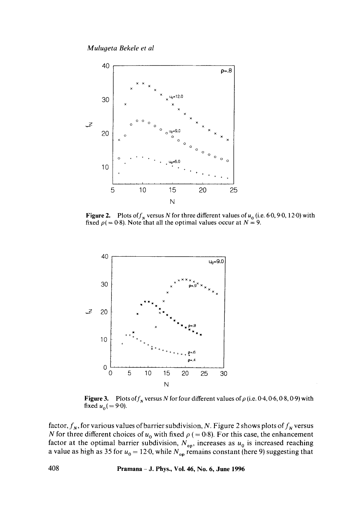

**Figure 2.** Plots of  $f<sub>N</sub>$  versus N for three different values of  $u<sub>0</sub>$  (i.e. 6.0, 9.0, 12.0) with fixed  $\rho (= 0.8)$ . Note that all the optimal values occur at  $N = 9$ .



**Figure 3.** Plots of  $f_N$  versus N for four different values of  $\rho$  (i.e. 0.4, 0.6, 0.8, 0.9) with fixed  $u_0 (= 9.0)$ .

factor,  $f_N$ , for various values of barrier subdivision, N. Figure 2 shows plots of  $f_N$  versus N for three different choices of  $u_0$  with fixed  $\rho$  (= 0:8). For this case, the enhancement factor at the optimal barrier subdivision,  $N_{op}$ , increases as  $u_0$  is increased reaching **a** value as high as 35 for  $u_0 = 12.0$ , while  $N_{op}$  remains constant (here 9) suggesting that

**408 Pramana - J. Phys., Vol. 46, No. 6, June 1996**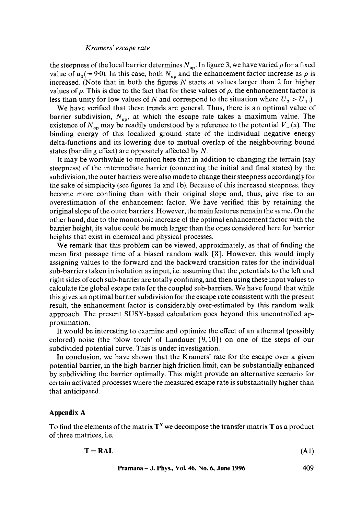#### *Kramers' escape rate*

the steepness of the local barrier determines  $N_{op}$ . In figure 3, we have varied  $\rho$  for a fixed value of  $u_0$ (= 9.0). In this case, both  $N_{on}$  and the enhancement factor increase as  $\rho$  is increased. (Note that in both the figures  $N$  starts at values larger than 2 for higher values of  $\rho$ . This is due to the fact that for these values of  $\rho$ , the enhancement factor is less than unity for low values of N and correspond to the situation where  $U_2 > U_1$ .

We have verified that these trends are general. Thus, there is an optimal value of barrier subdivision,  $N_{\text{on}}$ , at which the escape rate takes a maximum value. The existence of  $N_{op}$  may be readily understood by a reference to the potential  $V(x)$ . The binding energy of this localized ground state of the individual negative energy delta-functions and its lowering due to mutual overlap of the neighbouring bound states (banding effect) are oppositely affected by N.

It may be worthwhile to mention here that in addition to changing the terrain (say steepness) of the intermediate barrier (connecting the initial and final states) by the subdivision, the outer barriers were also made to change their steepness accordingly for the sake of simplicity (see figures la and lb). Because of this increased steepness, they become more confining than with their original slope and, thus, give rise to an overestimation of the enhancement factor. We have verified this by retaining the original slope of the outer barriers. However, the main features remain the same. On the other hand, due to the monotonic increase of the optimal enhancement factor with the barrier height, its value could be much larger than the ones considered here for barrier heights that exist in chemical and physical processes.

We remark that this problem can be viewed, approximately, as that of finding the mean first passage time of a biased random walk [8]. However, this would imply assigning values to the forward and the backward transition rates for the individual sub-barriers taken in isolation as input, i.e. assuming that the ootentials to the left and right sides of each sub-barrier are totally confining, and then using these input values to calculate the global escape rate for the coupled sub-barriers. We have found that while this gives an optimal barrier subdivision for the escape rate consistent with the present result, the enhancement factor is considerably over-estimated by this random walk approach. The present SUSY-based calculation goes beyond this uncontrolled approximation.

It would be interesting to examine and optimize the effect of an athermal (possibly colored) noise (the 'blow torch' of Landaner [9, 10]) on one of the steps of our subdivided potential curve. This is under investigation.

In conclusion, we have shown that the Kramers' rate for the escape over a given potential barrier, in the high barrier high friction limit, can be substantially enhanced by subdividing the barrier optimally. This might provide an alternative scenario for certain activated processes where the measured escape rate is substantially higher than that anticipated.

## **Appendix A**

To find the elements of the matrix  $T<sup>N</sup>$  we decompose the transfer matrix T as a product of three matrices, i.e.

$$
T = R\Lambda L \tag{A1}
$$

**Pramana - J. Phys., Vol. 46, No. 6, June 1996 409**